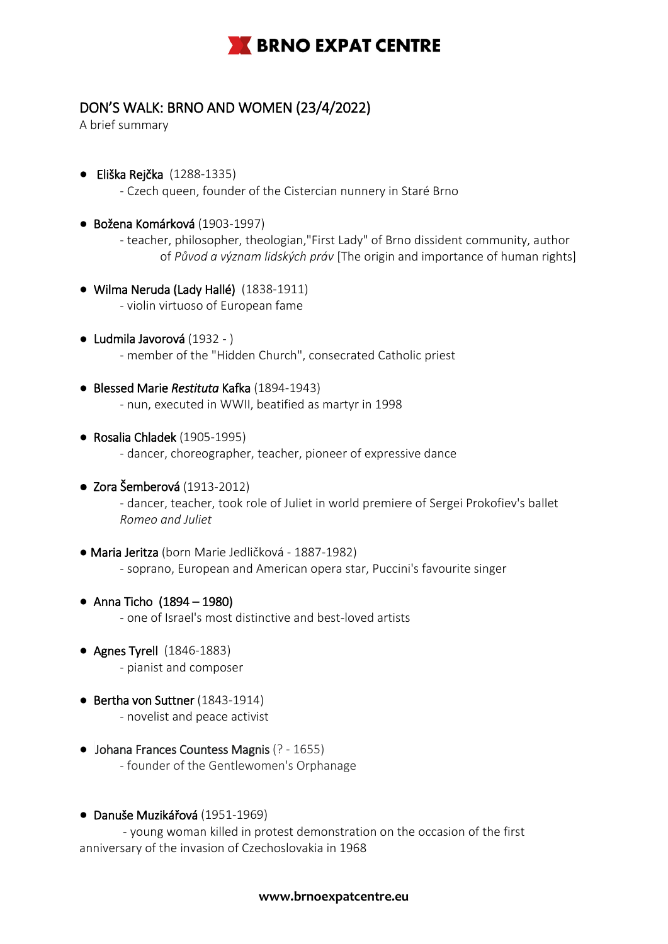

## DON'S WALK: BRNO AND WOMEN (23/4/2022)

A brief summary

- Eliška Rejčka (1288-1335) - Czech queen, founder of the Cistercian nunnery in Staré Brno
- Božena Komárková (1903-1997)
	- teacher, philosopher, theologian,"First Lady" of Brno dissident community, author of *Původ a význam lidských práv* [The origin and importance of human rights]
- Wilma Neruda (Lady Hallé) (1838-1911) - violin virtuoso of European fame
- Ludmila Javorová (1932 ) - member of the "Hidden Church", consecrated Catholic priest
- Blessed Marie *Restituta* Kafka (1894-1943) - nun, executed in WWII, beatified as martyr in 1998
- Rosalia Chladek (1905-1995) - dancer, choreographer, teacher, pioneer of expressive dance
- Zora Šemberová (1913-2012) - dancer, teacher, took role of Juliet in world premiere of Sergei Prokofiev's ballet *Romeo and Juliet*
- Maria Jeritza (born Marie Jedličková 1887-1982) - soprano, European and American opera star, Puccini's favourite singer
- Anna Ticho (1894 1980) - one of Israel's most distinctive and best-loved artists
- Agnes Tyrell (1846-1883) - pianist and composer
- Bertha von Suttner (1843-1914) - novelist and peace activist
- Johana Frances Countess Magnis (? 1655) - founder of the Gentlewomen's Orphanage
- Danuše Muzikářová (1951-1969)

- young woman killed in protest demonstration on the occasion of the first anniversary of the invasion of Czechoslovakia in 1968

## **www.brnoexpatcentre.eu**